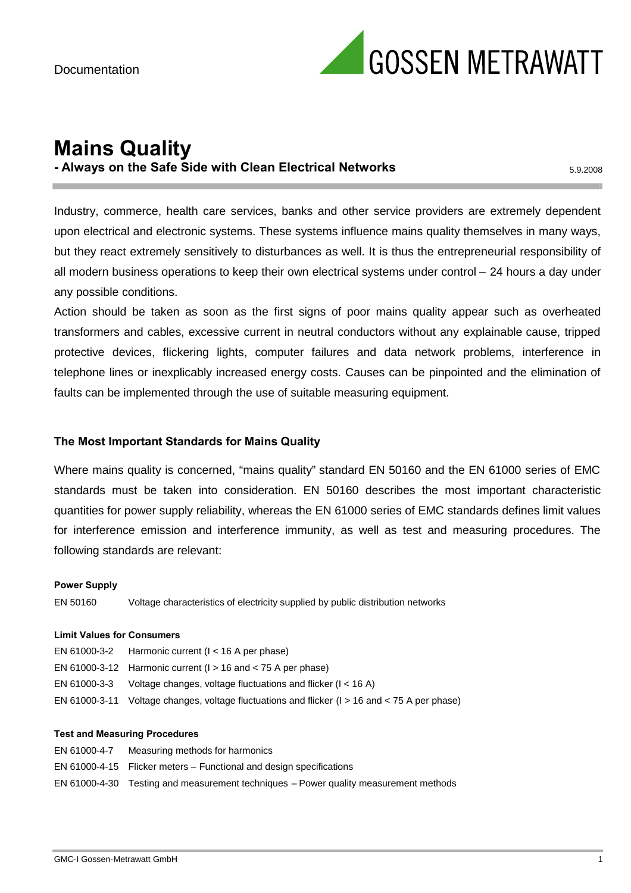

## **Mains Quality - Always on the Safe Side with Clean Electrical Networks** 5.9.2008

Industry, commerce, health care services, banks and other service providers are extremely dependent upon electrical and electronic systems. These systems influence mains quality themselves in many ways, but they react extremely sensitively to disturbances as well. It is thus the entrepreneurial responsibility of all modern business operations to keep their own electrical systems under control – 24 hours a day under any possible conditions.

Action should be taken as soon as the first signs of poor mains quality appear such as overheated transformers and cables, excessive current in neutral conductors without any explainable cause, tripped protective devices, flickering lights, computer failures and data network problems, interference in telephone lines or inexplicably increased energy costs. Causes can be pinpointed and the elimination of faults can be implemented through the use of suitable measuring equipment.

#### **The Most Important Standards for Mains Quality**

Where mains quality is concerned, "mains quality" standard EN 50160 and the EN 61000 series of EMC standards must be taken into consideration. EN 50160 describes the most important characteristic quantities for power supply reliability, whereas the EN 61000 series of EMC standards defines limit values for interference emission and interference immunity, as well as test and measuring procedures. The following standards are relevant:

#### **Power Supply**

EN 50160 Voltage characteristics of electricity supplied by public distribution networks

#### **Limit Values for Consumers**

| EN 61000-3-2 Harmonic current ( $l < 16$ A per phase)                                              |
|----------------------------------------------------------------------------------------------------|
| EN 61000-3-12 Harmonic current ( $l > 16$ and $<$ 75 A per phase)                                  |
| EN 61000-3-3 Voltage changes, voltage fluctuations and flicker ( $I < 16$ A)                       |
| EN 61000-3-11 Voltage changes, voltage fluctuations and flicker ( $l > 16$ and $<$ 75 A per phase) |

#### **Test and Measuring Procedures**

| EN 61000-4-7 | Measuring methods for harmonics                                                      |
|--------------|--------------------------------------------------------------------------------------|
|              | EN 61000-4-15 Flicker meters – Functional and design specifications                  |
|              | EN 61000-4-30 Testing and measurement techniques – Power quality measurement methods |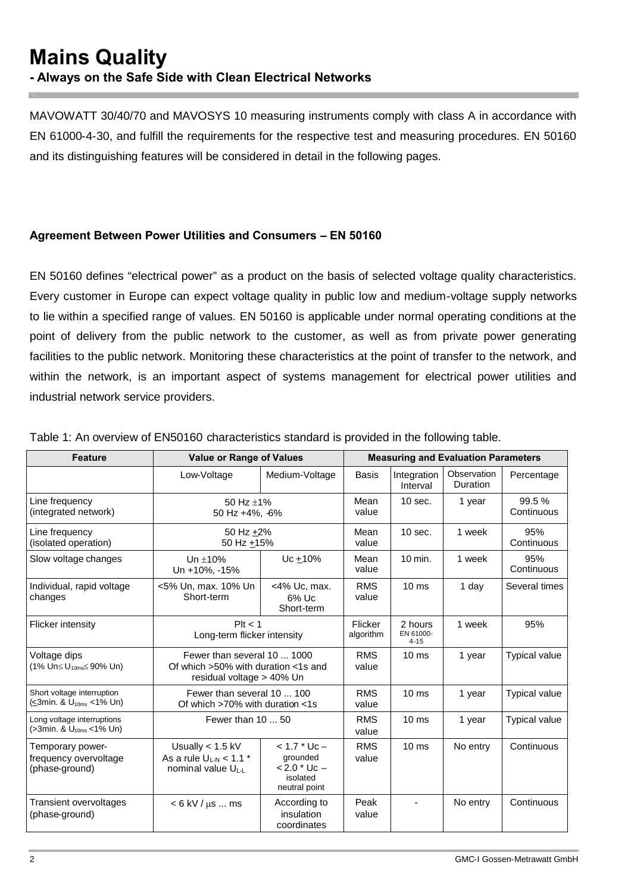MAVOWATT 30/40/70 and MAVOSYS 10 measuring instruments comply with class A in accordance with EN 61000-4-30, and fulfill the requirements for the respective test and measuring procedures. EN 50160 and its distinguishing features will be considered in detail in the following pages.

## **Agreement Between Power Utilities and Consumers – EN 50160**

EN 50160 defines "electrical power" as a product on the basis of selected voltage quality characteristics. Every customer in Europe can expect voltage quality in public low and medium-voltage supply networks to lie within a specified range of values. EN 50160 is applicable under normal operating conditions at the point of delivery from the public network to the customer, as well as from private power generating facilities to the public network. Monitoring these characteristics at the point of transfer to the network, and within the network, is an important aspect of systems management for electrical power utilities and industrial network service providers.

| <b>Feature</b>                                                               | <b>Value or Range of Values</b>                                                                       |                                                                               | <b>Measuring and Evaluation Parameters</b> |                                  |                         |                      |
|------------------------------------------------------------------------------|-------------------------------------------------------------------------------------------------------|-------------------------------------------------------------------------------|--------------------------------------------|----------------------------------|-------------------------|----------------------|
|                                                                              | Low-Voltage                                                                                           | Medium-Voltage                                                                | <b>Basis</b>                               | Integration<br>Interval          | Observation<br>Duration | Percentage           |
| Line frequency<br>(integrated network)                                       | 50 Hz $\pm$ 1%<br>50 Hz +4%, 6%                                                                       |                                                                               | Mean<br>value                              | $10$ sec.                        | 1 year                  | 99.5%<br>Continuous  |
| Line frequency<br>(isolated operation)                                       | 50 Hz +2%<br>50 Hz $+15%$                                                                             |                                                                               | Mean<br>value                              | $10$ sec.                        | 1 week                  | 95%<br>Continuous    |
| Slow voltage changes                                                         | Un $\pm$ 10%<br>Un +10%, -15%                                                                         | Uc $±10%$                                                                     | Mean<br>value                              | $10$ min.                        | 1 week                  | 95%<br>Continuous    |
| Individual, rapid voltage<br>changes                                         | <5% Un, max. 10% Un<br>Short-term                                                                     | <4% Uc, max.<br>$6\%$ Uc<br>Short-term                                        | <b>RMS</b><br>value                        | 10 <sub>ms</sub>                 | 1 day                   | Several times        |
| <b>Flicker intensity</b>                                                     | Plt < 1<br>Long-term flicker intensity                                                                |                                                                               | Flicker<br>algorithm                       | 2 hours<br>EN 61000-<br>$4 - 15$ | 1 week                  | 95%                  |
| Voltage dips<br>$(1\% \text{ Un} \leq U_{10\text{ms}} \leq 90\% \text{ Un})$ | Fewer than several 10  1000<br>Of which $>50\%$ with duration $<$ 1s and<br>residual voltage > 40% Un |                                                                               | <b>RMS</b><br>value                        | 10 <sub>ms</sub>                 | 1 year                  | <b>Typical value</b> |
| Short voltage interruption<br>$\leq 3$ min. & U <sub>10ms</sub> < 1% Un)     | Fewer than several 10  100<br>Of which $>70\%$ with duration $<1s$                                    |                                                                               | <b>RMS</b><br>value                        | $10 \text{ ms}$                  | 1 year                  | <b>Typical value</b> |
| Long voltage interruptions<br>$($ >3min. & $U_{10ms}$ < 1% Un)               | Fewer than 10  50                                                                                     |                                                                               | <b>RMS</b><br>value                        | 10 <sub>ms</sub>                 | 1 year                  | <b>Typical value</b> |
| Temporary power-<br>frequency overvoltage<br>(phase-ground)                  | Usually $< 1.5$ kV<br>As a rule $U_{L-N}$ < 1.1 $*$<br>nominal value UL-L                             | $< 1.7$ * Uc $-$<br>grounded<br>$< 2.0$ * Uc $-$<br>isolated<br>neutral point | <b>RMS</b><br>value                        | 10 <sub>ms</sub>                 | No entry                | Continuous           |
| <b>Transient overvoltages</b><br>(phase-ground)                              | $< 6$ kV / $\mu$ s  ms                                                                                | According to<br>insulation<br>coordinates                                     | Peak<br>value                              | $\blacksquare$                   | No entry                | Continuous           |

Table 1: An overview of EN50160 characteristics standard is provided in the following table.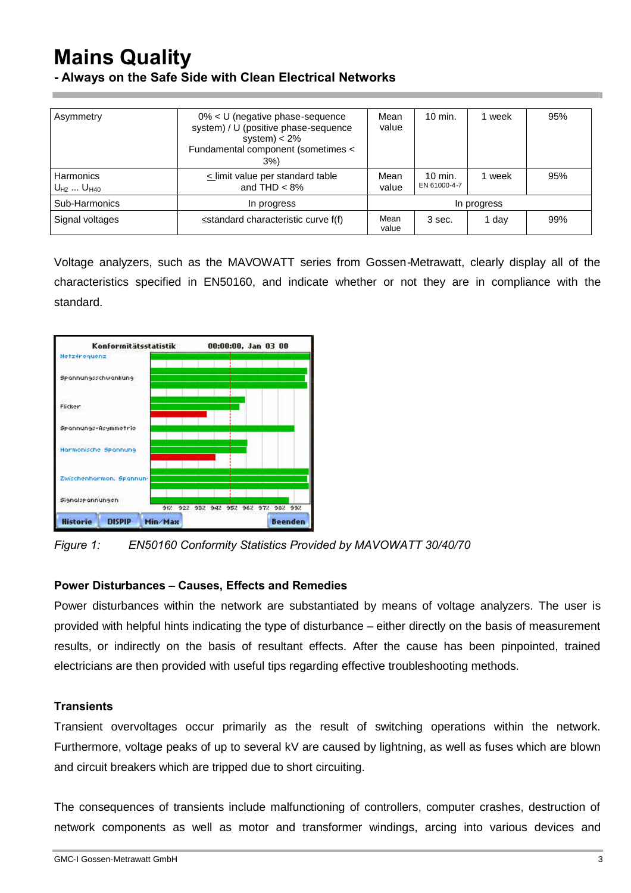# **Mains Quality**

**- Always on the Safe Side with Clean Electrical Networks**

| Asymmetry                      | 0% < U (negative phase-sequence<br>system) / U (positive phase-sequence<br>system) $< 2\%$<br>Fundamental component (sometimes <<br>3%) | Mean<br>value | $10$ min.                 | 1 week | 95% |
|--------------------------------|-----------------------------------------------------------------------------------------------------------------------------------------|---------------|---------------------------|--------|-----|
| Harmonics<br>$U_{H2}  U_{H40}$ | $\le$ limit value per standard table<br>and THD $< 8\%$                                                                                 | Mean<br>value | $10$ min.<br>EN 61000-4-7 | 1 week | 95% |
| Sub-Harmonics                  | In progress                                                                                                                             | In progress   |                           |        |     |
| Signal voltages                | $\le$ standard characteristic curve $f(f)$                                                                                              |               | 3 sec.                    | 1 day  | 99% |

Voltage analyzers, such as the MAVOWATT series from Gossen-Metrawatt, clearly display all of the characteristics specified in EN50160, and indicate whether or not they are in compliance with the standard.



*Figure 1: EN50160 Conformity Statistics Provided by MAVOWATT 30/40/70*

#### **Power Disturbances – Causes, Effects and Remedies**

Power disturbances within the network are substantiated by means of voltage analyzers. The user is provided with helpful hints indicating the type of disturbance – either directly on the basis of measurement results, or indirectly on the basis of resultant effects. After the cause has been pinpointed, trained electricians are then provided with useful tips regarding effective troubleshooting methods.

#### **Transients**

Transient overvoltages occur primarily as the result of switching operations within the network. Furthermore, voltage peaks of up to several kV are caused by lightning, as well as fuses which are blown and circuit breakers which are tripped due to short circuiting.

The consequences of transients include malfunctioning of controllers, computer crashes, destruction of network components as well as motor and transformer windings, arcing into various devices and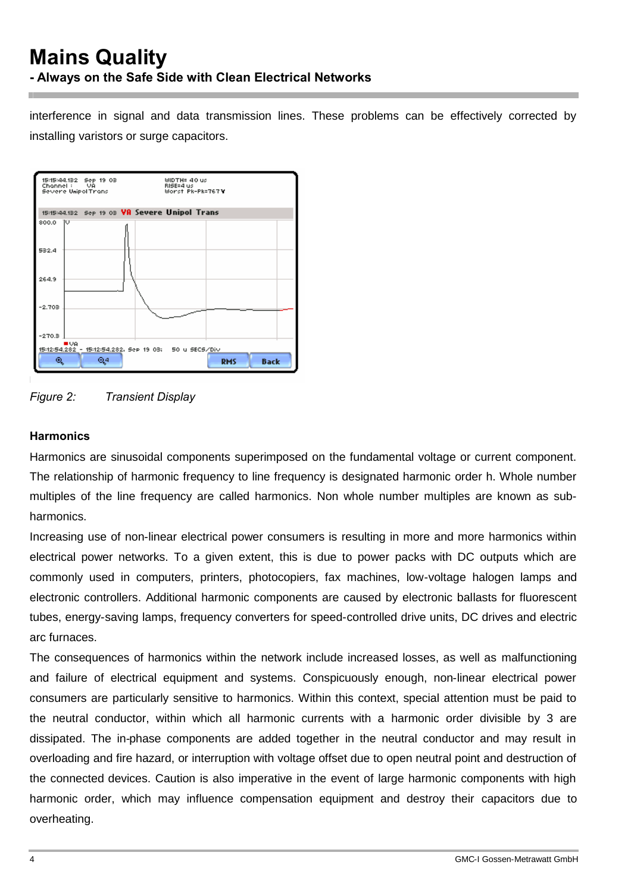interference in signal and data transmission lines. These problems can be effectively corrected by installing varistors or surge capacitors.





## **Harmonics**

Harmonics are sinusoidal components superimposed on the fundamental voltage or current component. The relationship of harmonic frequency to line frequency is designated harmonic order h. Whole number multiples of the line frequency are called harmonics. Non whole number multiples are known as subharmonics.

Increasing use of non-linear electrical power consumers is resulting in more and more harmonics within electrical power networks. To a given extent, this is due to power packs with DC outputs which are commonly used in computers, printers, photocopiers, fax machines, low-voltage halogen lamps and electronic controllers. Additional harmonic components are caused by electronic ballasts for fluorescent tubes, energy-saving lamps, frequency converters for speed-controlled drive units, DC drives and electric arc furnaces.

The consequences of harmonics within the network include increased losses, as well as malfunctioning and failure of electrical equipment and systems. Conspicuously enough, non-linear electrical power consumers are particularly sensitive to harmonics. Within this context, special attention must be paid to the neutral conductor, within which all harmonic currents with a harmonic order divisible by 3 are dissipated. The in-phase components are added together in the neutral conductor and may result in overloading and fire hazard, or interruption with voltage offset due to open neutral point and destruction of the connected devices. Caution is also imperative in the event of large harmonic components with high harmonic order, which may influence compensation equipment and destroy their capacitors due to overheating.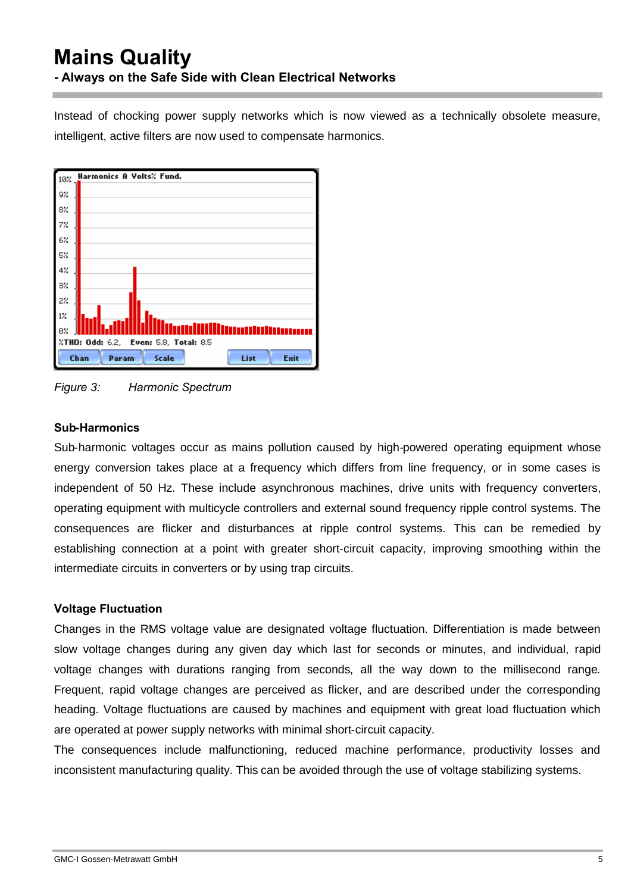# **Mains Quality - Always on the Safe Side with Clean Electrical Networks**

Instead of chocking power supply networks which is now viewed as a technically obsolete measure, intelligent, active filters are now used to compensate harmonics.



*Figure 3: Harmonic Spectrum*

#### **Sub-Harmonics**

Sub-harmonic voltages occur as mains pollution caused by high-powered operating equipment whose energy conversion takes place at a frequency which differs from line frequency, or in some cases is independent of 50 Hz. These include asynchronous machines, drive units with frequency converters, operating equipment with multicycle controllers and external sound frequency ripple control systems. The consequences are flicker and disturbances at ripple control systems. This can be remedied by establishing connection at a point with greater short-circuit capacity, improving smoothing within the intermediate circuits in converters or by using trap circuits.

## **Voltage Fluctuation**

Changes in the RMS voltage value are designated voltage fluctuation. Differentiation is made between slow voltage changes during any given day which last for seconds or minutes, and individual, rapid voltage changes with durations ranging from seconds, all the way down to the millisecond range. Frequent, rapid voltage changes are perceived as flicker, and are described under the corresponding heading. Voltage fluctuations are caused by machines and equipment with great load fluctuation which are operated at power supply networks with minimal short-circuit capacity.

The consequences include malfunctioning, reduced machine performance, productivity losses and inconsistent manufacturing quality. This can be avoided through the use of voltage stabilizing systems.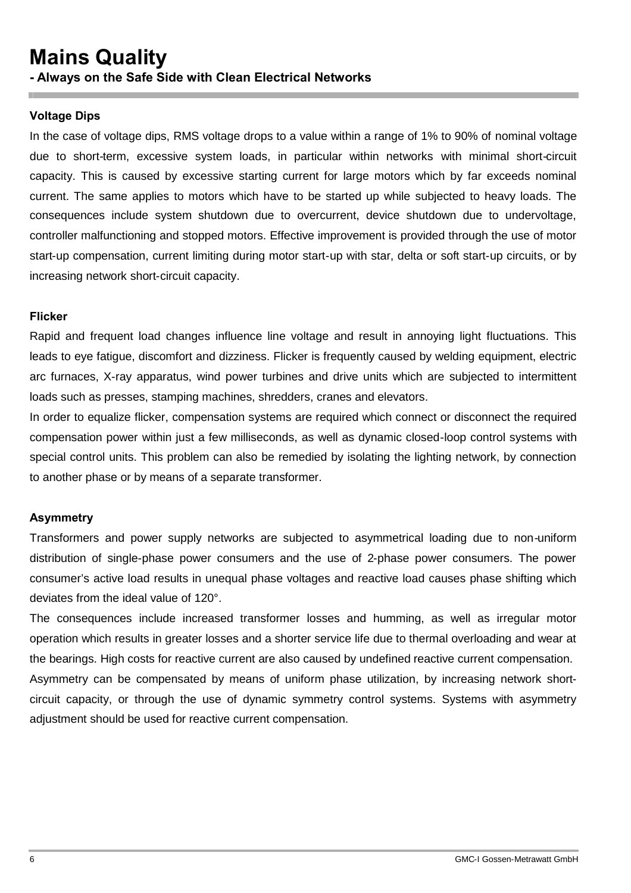#### **Voltage Dips**

In the case of voltage dips, RMS voltage drops to a value within a range of 1% to 90% of nominal voltage due to short-term, excessive system loads, in particular within networks with minimal short-circuit capacity. This is caused by excessive starting current for large motors which by far exceeds nominal current. The same applies to motors which have to be started up while subjected to heavy loads. The consequences include system shutdown due to overcurrent, device shutdown due to undervoltage, controller malfunctioning and stopped motors. Effective improvement is provided through the use of motor start-up compensation, current limiting during motor start-up with star, delta or soft start-up circuits, or by increasing network short-circuit capacity.

#### **Flicker**

Rapid and frequent load changes influence line voltage and result in annoying light fluctuations. This leads to eye fatigue, discomfort and dizziness. Flicker is frequently caused by welding equipment, electric arc furnaces, X-ray apparatus, wind power turbines and drive units which are subjected to intermittent loads such as presses, stamping machines, shredders, cranes and elevators.

In order to equalize flicker, compensation systems are required which connect or disconnect the required compensation power within just a few milliseconds, as well as dynamic closed-loop control systems with special control units. This problem can also be remedied by isolating the lighting network, by connection to another phase or by means of a separate transformer.

#### **Asymmetry**

Transformers and power supply networks are subjected to asymmetrical loading due to non-uniform distribution of single-phase power consumers and the use of 2-phase power consumers. The power consumer's active load results in unequal phase voltages and reactive load causes phase shifting which deviates from the ideal value of 120°.

The consequences include increased transformer losses and humming, as well as irregular motor operation which results in greater losses and a shorter service life due to thermal overloading and wear at the bearings. High costs for reactive current are also caused by undefined reactive current compensation. Asymmetry can be compensated by means of uniform phase utilization, by increasing network shortcircuit capacity, or through the use of dynamic symmetry control systems. Systems with asymmetry adjustment should be used for reactive current compensation.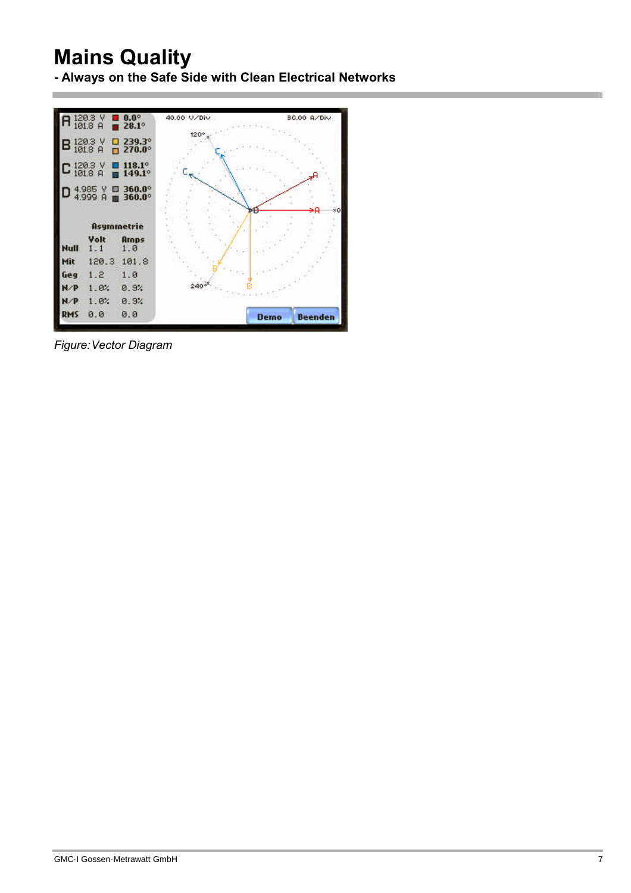# **Mains Quality**

**- Always on the Safe Side with Clean Electrical Networks**



*Figure:Vector Diagram*